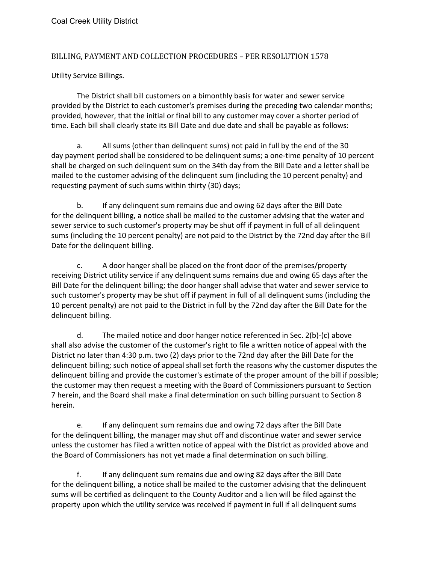## BILLING, PAYMENT AND COLLECTION PROCEDURES – PER RESOLUTION 1578

Utility Service Billings.

The District shall bill customers on a bimonthly basis for water and sewer service provided by the District to each customer's premises during the preceding two calendar months; provided, however, that the initial or final bill to any customer may cover a shorter period of time. Each bill shall clearly state its Bill Date and due date and shall be payable as follows:

a. All sums (other than delinquent sums) not paid in full by the end of the 30 day payment period shall be considered to be delinquent sums; a one-time penalty of 10 percent shall be charged on such delinquent sum on the 34th day from the Bill Date and a letter shall be mailed to the customer advising of the delinquent sum (including the 10 percent penalty) and requesting payment of such sums within thirty (30) days;

b. If any delinquent sum remains due and owing 62 days after the Bill Date for the delinquent billing, a notice shall be mailed to the customer advising that the water and sewer service to such customer's property may be shut off if payment in full of all delinquent sums (including the 10 percent penalty) are not paid to the District by the 72nd day after the Bill Date for the delinquent billing.

c. A door hanger shall be placed on the front door of the premises/property receiving District utility service if any delinquent sums remains due and owing 65 days after the Bill Date for the delinquent billing; the door hanger shall advise that water and sewer service to such customer's property may be shut off if payment in full of all delinquent sums (including the 10 percent penalty) are not paid to the District in full by the 72nd day after the Bill Date for the delinquent billing.

d. The mailed notice and door hanger notice referenced in Sec. 2(b)-(c) above shall also advise the customer of the customer's right to file a written notice of appeal with the District no later than 4:30 p.m. two (2) days prior to the 72nd day after the Bill Date for the delinquent billing; such notice of appeal shall set forth the reasons why the customer disputes the delinquent billing and provide the customer's estimate of the proper amount of the bill if possible; the customer may then request a meeting with the Board of Commissioners pursuant to Section 7 herein, and the Board shall make a final determination on such billing pursuant to Section 8 herein.

e. If any delinquent sum remains due and owing 72 days after the Bill Date for the delinquent billing, the manager may shut off and discontinue water and sewer service unless the customer has filed a written notice of appeal with the District as provided above and the Board of Commissioners has not yet made a final determination on such billing.

f. If any delinquent sum remains due and owing 82 days after the Bill Date for the delinquent billing, a notice shall be mailed to the customer advising that the delinquent sums will be certified as delinquent to the County Auditor and a lien will be filed against the property upon which the utility service was received if payment in full if all delinquent sums